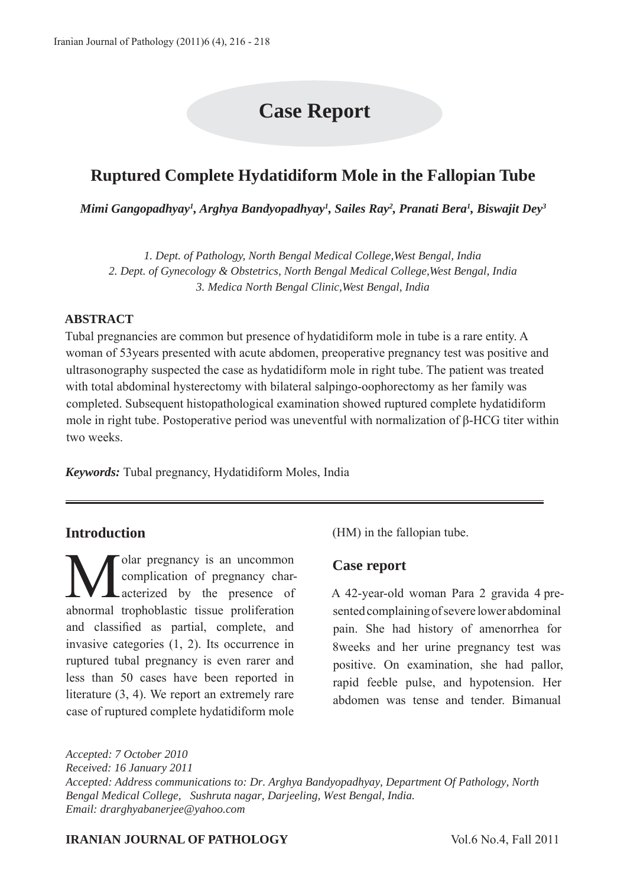# **Case Report**

# **Ruptured Complete Hydatidiform Mole in the Fallopian Tube**

*Mimi Gangopadhyay1 , Arghya Bandyopadhyay1 , Sailes Ray2 , Pranati Bera1 , Biswajit Dey3*

*1. Dept. of Pathology, North Bengal Medical College,West Bengal, India 2. Dept. of Gynecology & Obstetrics, North Bengal Medical College,West Bengal, India 3. Medica North Bengal Clinic,West Bengal, India*

#### **ABSTRACT**

Tubal pregnancies are common but presence of hydatidiform mole in tube is a rare entity. A woman of 53years presented with acute abdomen, preoperative pregnancy test was positive and ultrasonography suspected the case as hydatidiform mole in right tube. The patient was treated with total abdominal hysterectomy with bilateral salpingo-oophorectomy as her family was completed. Subsequent histopathological examination showed ruptured complete hydatidiform mole in right tube. Postoperative period was uneventful with normalization of β-HCG titer within two weeks.

*Keywords:* Tubal pregnancy, Hydatidiform Moles, India

#### **Introduction**

Molar pregnancy is an uncommon<br>complication of pregnancy char-<br>acterized by the presence of complication of pregnancy characterized by the presence of abnormal trophoblastic tissue proliferation and classified as partial, complete, and invasive categories (1, 2). Its occurrence in ruptured tubal pregnancy is even rarer and less than 50 cases have been reported in literature (3, 4). We report an extremely rare case of ruptured complete hydatidiform mole

(HM) in the fallopian tube.

#### **Case report**

A 42-year-old woman Para 2 gravida 4 presented complaining of severe lower abdominal pain. She had history of amenorrhea for 8weeks and her urine pregnancy test was positive. On examination, she had pallor, rapid feeble pulse, and hypotension. Her abdomen was tense and tender. Bimanual

*Accepted: 7 October 2010 Received: 16 January 2011 Accepted: Address communications to: Dr. Arghya Bandyopadhyay, Department Of Pathology, North Bengal Medical College, Sushruta nagar, Darjeeling, West Bengal, India. Email: drarghyabanerjee@yahoo.com*

#### **IRANIAN JOURNAL OF PATHOLOGY** Vol.6 No.4, Fall 2011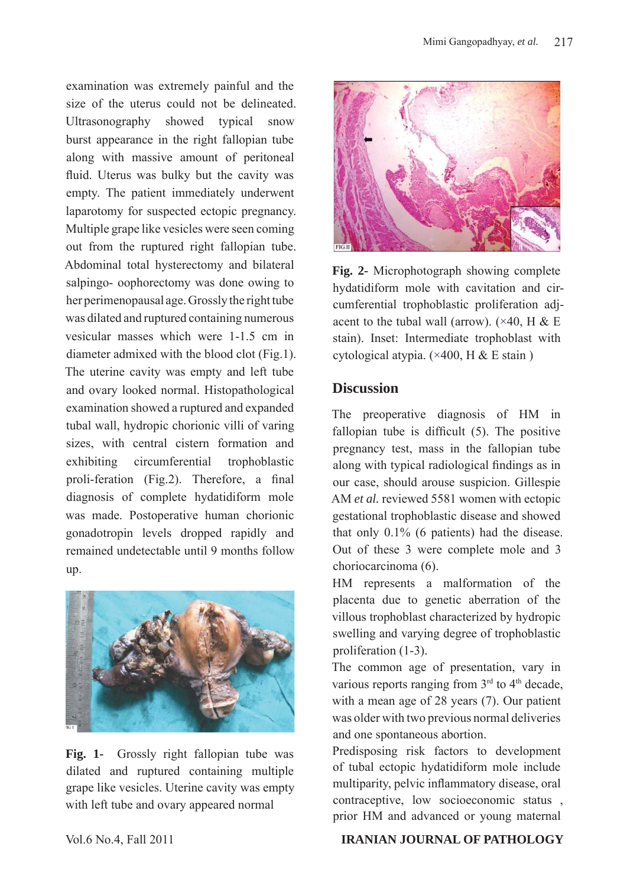examination was extremely painful and the size of the uterus could not be delineated. Ultrasonography showed typical snow burst appearance in the right fallopian tube along with massive amount of peritoneal fluid. Uterus was bulky but the cavity was empty. The patient immediately underwent laparotomy for suspected ectopic pregnancy. Multiple grape like vesicles were seen coming out from the ruptured right fallopian tube. Abdominal total hysterectomy and bilateral salpingo- oophorectomy was done owing to her perimenopausal age. Grossly the right tube was dilated and ruptured containing numerous vesicular masses which were 1-1.5 cm in diameter admixed with the blood clot (Fig.1). The uterine cavity was empty and left tube and ovary looked normal. Histopathological examination showed a ruptured and expanded tubal wall, hydropic chorionic villi of varing sizes, with central cistern formation and exhibiting circumferential trophoblastic proli-feration (Fig.2). Therefore, a final diagnosis of complete hydatidiform mole was made. Postoperative human chorionic gonadotropin levels dropped rapidly and remained undetectable until 9 months follow up.



**Fig. 1-** Grossly right fallopian tube was dilated and ruptured containing multiple grape like vesicles. Uterine cavity was empty with left tube and ovary appeared normal



**Fig. 2-** Microphotograph showing complete hydatidiform mole with cavitation and circumferential trophoblastic proliferation adjacent to the tubal wall (arrow).  $(\times 40, H \& E)$ stain). Inset: Intermediate trophoblast with cytological atypia.  $(\times 400, H & E \text{ stain})$ 

### **Discussion**

The preoperative diagnosis of HM in fallopian tube is difficult (5). The positive pregnancy test, mass in the fallopian tube along with typical radiological findings as in our case, should arouse suspicion. Gillespie AM *et al.* reviewed 5581 women with ectopic gestational trophoblastic disease and showed that only 0.1% (6 patients) had the disease. Out of these 3 were complete mole and 3 choriocarcinoma (6).

HM represents a malformation of the placenta due to genetic aberration of the villous trophoblast characterized by hydropic swelling and varying degree of trophoblastic proliferation (1-3).

The common age of presentation, vary in various reports ranging from  $3<sup>rd</sup>$  to  $4<sup>th</sup>$  decade, with a mean age of 28 years (7). Our patient was older with two previous normal deliveries and one spontaneous abortion.

Predisposing risk factors to development of tubal ectopic hydatidiform mole include multiparity, pelvic inflammatory disease, oral contraceptive, low socioeconomic status , prior HM and advanced or young maternal

#### Vol.6 No.4, Fall 2011 **IRANIAN JOURNAL OF PATHOLOGY**